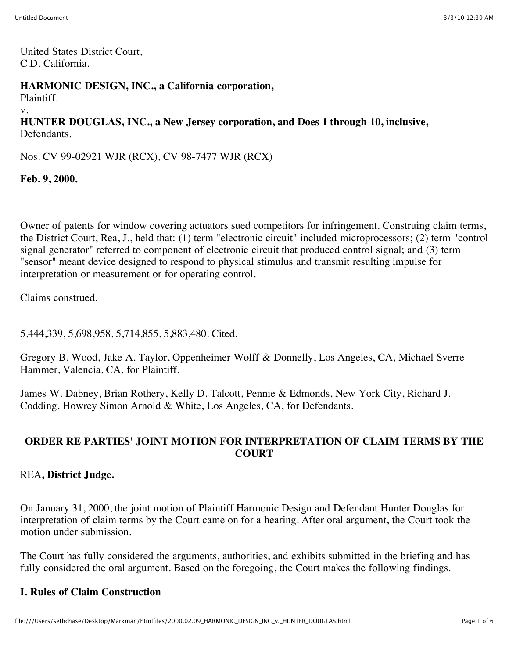United States District Court, C.D. California.

**HARMONIC DESIGN, INC., a California corporation,**

Plaintiff.

v.

**HUNTER DOUGLAS, INC., a New Jersey corporation, and Does 1 through 10, inclusive,** Defendants.

Nos. CV 99-02921 WJR (RCX), CV 98-7477 WJR (RCX)

**Feb. 9, 2000.**

Owner of patents for window covering actuators sued competitors for infringement. Construing claim terms, the District Court, Rea, J., held that: (1) term "electronic circuit" included microprocessors; (2) term "control signal generator" referred to component of electronic circuit that produced control signal; and (3) term "sensor" meant device designed to respond to physical stimulus and transmit resulting impulse for interpretation or measurement or for operating control.

Claims construed.

5,444,339, 5,698,958, 5,714,855, 5,883,480. Cited.

Gregory B. Wood, Jake A. Taylor, Oppenheimer Wolff & Donnelly, Los Angeles, CA, Michael Sverre Hammer, Valencia, CA, for Plaintiff.

James W. Dabney, Brian Rothery, Kelly D. Talcott, Pennie & Edmonds, New York City, Richard J. Codding, Howrey Simon Arnold & White, Los Angeles, CA, for Defendants.

#### **ORDER RE PARTIES' JOINT MOTION FOR INTERPRETATION OF CLAIM TERMS BY THE COURT**

REA**, District Judge.**

On January 31, 2000, the joint motion of Plaintiff Harmonic Design and Defendant Hunter Douglas for interpretation of claim terms by the Court came on for a hearing. After oral argument, the Court took the motion under submission.

The Court has fully considered the arguments, authorities, and exhibits submitted in the briefing and has fully considered the oral argument. Based on the foregoing, the Court makes the following findings.

#### **I. Rules of Claim Construction**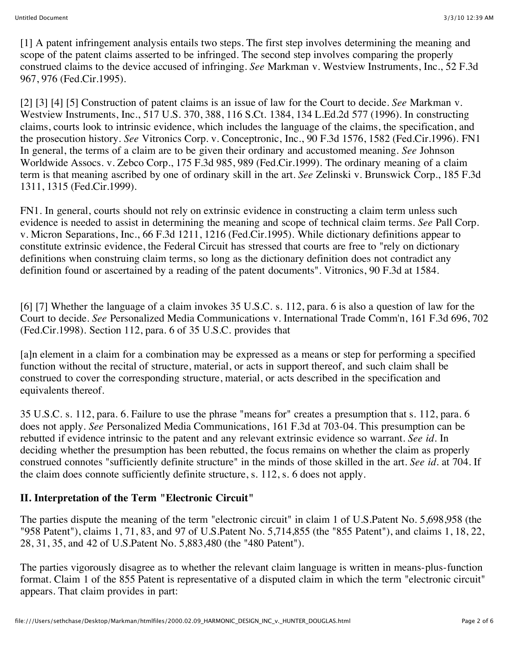[1] A patent infringement analysis entails two steps. The first step involves determining the meaning and scope of the patent claims asserted to be infringed. The second step involves comparing the properly construed claims to the device accused of infringing. *See* Markman v. Westview Instruments, Inc., 52 F.3d 967, 976 (Fed.Cir.1995).

[2] [3] [4] [5] Construction of patent claims is an issue of law for the Court to decide. *See* Markman v. Westview Instruments, Inc., 517 U.S. 370, 388, 116 S.Ct. 1384, 134 L.Ed.2d 577 (1996). In constructing claims, courts look to intrinsic evidence, which includes the language of the claims, the specification, and the prosecution history. *See* Vitronics Corp. v. Conceptronic, Inc., 90 F.3d 1576, 1582 (Fed.Cir.1996). FN1 In general, the terms of a claim are to be given their ordinary and accustomed meaning. *See* Johnson Worldwide Assocs. v. Zebco Corp., 175 F.3d 985, 989 (Fed.Cir.1999). The ordinary meaning of a claim term is that meaning ascribed by one of ordinary skill in the art. *See* Zelinski v. Brunswick Corp., 185 F.3d 1311, 1315 (Fed.Cir.1999).

FN1. In general, courts should not rely on extrinsic evidence in constructing a claim term unless such evidence is needed to assist in determining the meaning and scope of technical claim terms. *See* Pall Corp. v. Micron Separations, Inc., 66 F.3d 1211, 1216 (Fed.Cir.1995). While dictionary definitions appear to constitute extrinsic evidence, the Federal Circuit has stressed that courts are free to "rely on dictionary definitions when construing claim terms, so long as the dictionary definition does not contradict any definition found or ascertained by a reading of the patent documents". Vitronics, 90 F.3d at 1584.

[6] [7] Whether the language of a claim invokes 35 U.S.C. s. 112, para. 6 is also a question of law for the Court to decide. *See* Personalized Media Communications v. International Trade Comm'n, 161 F.3d 696, 702 (Fed.Cir.1998). Section 112, para. 6 of 35 U.S.C. provides that

[a]n element in a claim for a combination may be expressed as a means or step for performing a specified function without the recital of structure, material, or acts in support thereof, and such claim shall be construed to cover the corresponding structure, material, or acts described in the specification and equivalents thereof.

35 U.S.C. s. 112, para. 6. Failure to use the phrase "means for" creates a presumption that s. 112, para. 6 does not apply. *See* Personalized Media Communications, 161 F.3d at 703-04. This presumption can be rebutted if evidence intrinsic to the patent and any relevant extrinsic evidence so warrant. *See id.* In deciding whether the presumption has been rebutted, the focus remains on whether the claim as properly construed connotes "sufficiently definite structure" in the minds of those skilled in the art. *See id.* at 704. If the claim does connote sufficiently definite structure, s. 112, s. 6 does not apply.

### **II. Interpretation of the Term "Electronic Circuit"**

The parties dispute the meaning of the term "electronic circuit" in claim 1 of U.S.Patent No. 5,698,958 (the "958 Patent"), claims 1, 71, 83, and 97 of U.S.Patent No. 5,714,855 (the "855 Patent"), and claims 1, 18, 22, 28, 31, 35, and 42 of U.S.Patent No. 5,883,480 (the "480 Patent").

The parties vigorously disagree as to whether the relevant claim language is written in means-plus-function format. Claim 1 of the 855 Patent is representative of a disputed claim in which the term "electronic circuit" appears. That claim provides in part: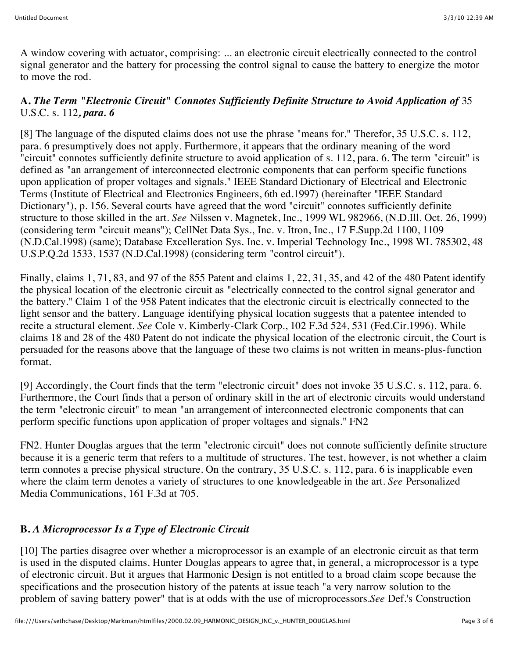A window covering with actuator, comprising: ... an electronic circuit electrically connected to the control signal generator and the battery for processing the control signal to cause the battery to energize the motor to move the rod.

### **A.** *The Term "Electronic Circuit" Connotes Sufficiently Definite Structure to Avoid Application of* 35 U.S.C. s. 112*, para. 6*

[8] The language of the disputed claims does not use the phrase "means for." Therefor, 35 U.S.C. s. 112, para. 6 presumptively does not apply. Furthermore, it appears that the ordinary meaning of the word "circuit" connotes sufficiently definite structure to avoid application of s. 112, para. 6. The term "circuit" is defined as "an arrangement of interconnected electronic components that can perform specific functions upon application of proper voltages and signals." IEEE Standard Dictionary of Electrical and Electronic Terms (Institute of Electrical and Electronics Engineers, 6th ed.1997) (hereinafter "IEEE Standard Dictionary"), p. 156. Several courts have agreed that the word "circuit" connotes sufficiently definite structure to those skilled in the art. *See* Nilssen v. Magnetek, Inc., 1999 WL 982966, (N.D.Ill. Oct. 26, 1999) (considering term "circuit means"); CellNet Data Sys., Inc. v. Itron, Inc., 17 F.Supp.2d 1100, 1109 (N.D.Cal.1998) (same); Database Excelleration Sys. Inc. v. Imperial Technology Inc., 1998 WL 785302, 48 U.S.P.Q.2d 1533, 1537 (N.D.Cal.1998) (considering term "control circuit").

Finally, claims 1, 71, 83, and 97 of the 855 Patent and claims 1, 22, 31, 35, and 42 of the 480 Patent identify the physical location of the electronic circuit as "electrically connected to the control signal generator and the battery." Claim 1 of the 958 Patent indicates that the electronic circuit is electrically connected to the light sensor and the battery. Language identifying physical location suggests that a patentee intended to recite a structural element. *See* Cole v. Kimberly-Clark Corp., 102 F.3d 524, 531 (Fed.Cir.1996). While claims 18 and 28 of the 480 Patent do not indicate the physical location of the electronic circuit, the Court is persuaded for the reasons above that the language of these two claims is not written in means-plus-function format.

[9] Accordingly, the Court finds that the term "electronic circuit" does not invoke 35 U.S.C. s. 112, para. 6. Furthermore, the Court finds that a person of ordinary skill in the art of electronic circuits would understand the term "electronic circuit" to mean "an arrangement of interconnected electronic components that can perform specific functions upon application of proper voltages and signals." FN2

FN2. Hunter Douglas argues that the term "electronic circuit" does not connote sufficiently definite structure because it is a generic term that refers to a multitude of structures. The test, however, is not whether a claim term connotes a precise physical structure. On the contrary, 35 U.S.C. s. 112, para. 6 is inapplicable even where the claim term denotes a variety of structures to one knowledgeable in the art. *See* Personalized Media Communications, 161 F.3d at 705.

### **B.** *A Microprocessor Is a Type of Electronic Circuit*

[10] The parties disagree over whether a microprocessor is an example of an electronic circuit as that term is used in the disputed claims. Hunter Douglas appears to agree that, in general, a microprocessor is a type of electronic circuit. But it argues that Harmonic Design is not entitled to a broad claim scope because the specifications and the prosecution history of the patents at issue teach "a very narrow solution to the problem of saving battery power" that is at odds with the use of microprocessors.*See* Def.'s Construction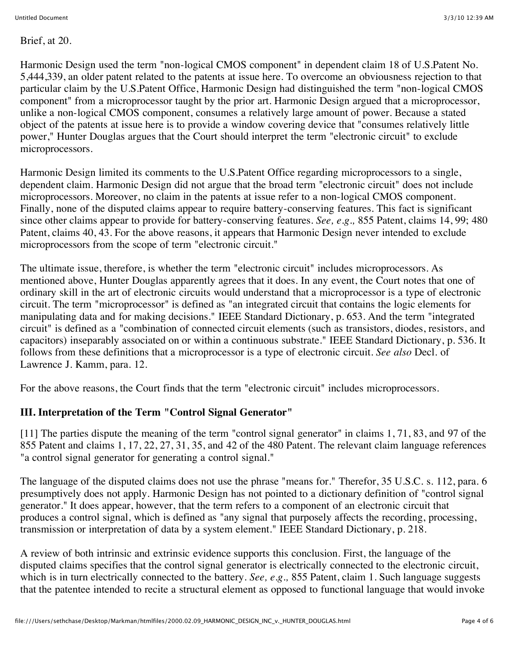Brief, at 20.

Harmonic Design used the term "non-logical CMOS component" in dependent claim 18 of U.S.Patent No. 5,444,339, an older patent related to the patents at issue here. To overcome an obviousness rejection to that particular claim by the U.S.Patent Office, Harmonic Design had distinguished the term "non-logical CMOS component" from a microprocessor taught by the prior art. Harmonic Design argued that a microprocessor, unlike a non-logical CMOS component, consumes a relatively large amount of power. Because a stated object of the patents at issue here is to provide a window covering device that "consumes relatively little power," Hunter Douglas argues that the Court should interpret the term "electronic circuit" to exclude microprocessors.

Harmonic Design limited its comments to the U.S.Patent Office regarding microprocessors to a single, dependent claim. Harmonic Design did not argue that the broad term "electronic circuit" does not include microprocessors. Moreover, no claim in the patents at issue refer to a non-logical CMOS component. Finally, none of the disputed claims appear to require battery-conserving features. This fact is significant since other claims appear to provide for battery-conserving features. *See, e.g.,* 855 Patent, claims 14, 99; 480 Patent, claims 40, 43. For the above reasons, it appears that Harmonic Design never intended to exclude microprocessors from the scope of term "electronic circuit."

The ultimate issue, therefore, is whether the term "electronic circuit" includes microprocessors. As mentioned above, Hunter Douglas apparently agrees that it does. In any event, the Court notes that one of ordinary skill in the art of electronic circuits would understand that a microprocessor is a type of electronic circuit. The term "microprocessor" is defined as "an integrated circuit that contains the logic elements for manipulating data and for making decisions." IEEE Standard Dictionary, p. 653. And the term "integrated circuit" is defined as a "combination of connected circuit elements (such as transistors, diodes, resistors, and capacitors) inseparably associated on or within a continuous substrate." IEEE Standard Dictionary, p. 536. It follows from these definitions that a microprocessor is a type of electronic circuit. *See also* Decl. of Lawrence J. Kamm, para. 12.

For the above reasons, the Court finds that the term "electronic circuit" includes microprocessors.

# **III. Interpretation of the Term "Control Signal Generator"**

[11] The parties dispute the meaning of the term "control signal generator" in claims 1, 71, 83, and 97 of the 855 Patent and claims 1, 17, 22, 27, 31, 35, and 42 of the 480 Patent. The relevant claim language references "a control signal generator for generating a control signal."

The language of the disputed claims does not use the phrase "means for." Therefor, 35 U.S.C. s. 112, para. 6 presumptively does not apply. Harmonic Design has not pointed to a dictionary definition of "control signal generator." It does appear, however, that the term refers to a component of an electronic circuit that produces a control signal, which is defined as "any signal that purposely affects the recording, processing, transmission or interpretation of data by a system element." IEEE Standard Dictionary, p. 218.

A review of both intrinsic and extrinsic evidence supports this conclusion. First, the language of the disputed claims specifies that the control signal generator is electrically connected to the electronic circuit, which is in turn electrically connected to the battery. *See, e.g.,* 855 Patent, claim 1. Such language suggests that the patentee intended to recite a structural element as opposed to functional language that would invoke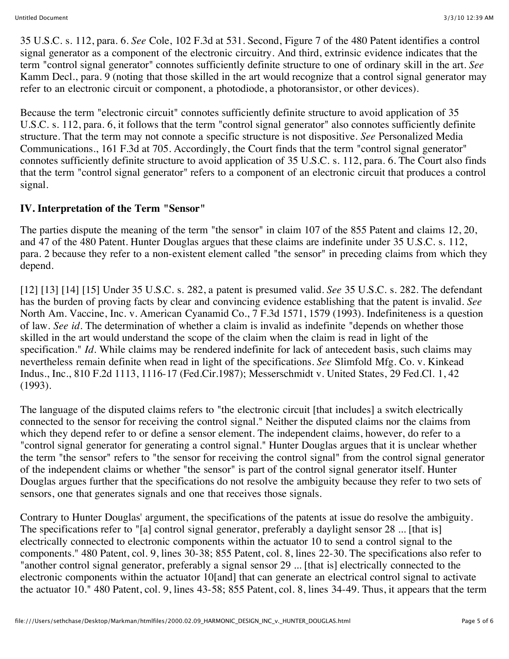35 U.S.C. s. 112, para. 6. *See* Cole, 102 F.3d at 531. Second, Figure 7 of the 480 Patent identifies a control signal generator as a component of the electronic circuitry. And third, extrinsic evidence indicates that the term "control signal generator" connotes sufficiently definite structure to one of ordinary skill in the art. *See* Kamm Decl., para. 9 (noting that those skilled in the art would recognize that a control signal generator may refer to an electronic circuit or component, a photodiode, a photoransistor, or other devices).

Because the term "electronic circuit" connotes sufficiently definite structure to avoid application of 35 U.S.C. s. 112, para. 6, it follows that the term "control signal generator" also connotes sufficiently definite structure. That the term may not connote a specific structure is not dispositive. *See* Personalized Media Communications., 161 F.3d at 705. Accordingly, the Court finds that the term "control signal generator" connotes sufficiently definite structure to avoid application of 35 U.S.C. s. 112, para. 6. The Court also finds that the term "control signal generator" refers to a component of an electronic circuit that produces a control signal.

## **IV. Interpretation of the Term "Sensor"**

The parties dispute the meaning of the term "the sensor" in claim 107 of the 855 Patent and claims 12, 20, and 47 of the 480 Patent. Hunter Douglas argues that these claims are indefinite under 35 U.S.C. s. 112, para. 2 because they refer to a non-existent element called "the sensor" in preceding claims from which they depend.

[12] [13] [14] [15] Under 35 U.S.C. s. 282, a patent is presumed valid. *See* 35 U.S.C. s. 282. The defendant has the burden of proving facts by clear and convincing evidence establishing that the patent is invalid. *See* North Am. Vaccine, Inc. v. American Cyanamid Co., 7 F.3d 1571, 1579 (1993). Indefiniteness is a question of law. *See id.* The determination of whether a claim is invalid as indefinite "depends on whether those skilled in the art would understand the scope of the claim when the claim is read in light of the specification." *Id.* While claims may be rendered indefinite for lack of antecedent basis, such claims may nevertheless remain definite when read in light of the specifications. *See* Slimfold Mfg. Co. v. Kinkead Indus., Inc., 810 F.2d 1113, 1116-17 (Fed.Cir.1987); Messerschmidt v. United States, 29 Fed.Cl. 1, 42 (1993).

The language of the disputed claims refers to "the electronic circuit [that includes] a switch electrically connected to the sensor for receiving the control signal." Neither the disputed claims nor the claims from which they depend refer to or define a sensor element. The independent claims, however, do refer to a "control signal generator for generating a control signal." Hunter Douglas argues that it is unclear whether the term "the sensor" refers to "the sensor for receiving the control signal" from the control signal generator of the independent claims or whether "the sensor" is part of the control signal generator itself. Hunter Douglas argues further that the specifications do not resolve the ambiguity because they refer to two sets of sensors, one that generates signals and one that receives those signals.

Contrary to Hunter Douglas' argument, the specifications of the patents at issue do resolve the ambiguity. The specifications refer to "[a] control signal generator, preferably a daylight sensor 28 ... [that is] electrically connected to electronic components within the actuator 10 to send a control signal to the components." 480 Patent, col. 9, lines 30-38; 855 Patent, col. 8, lines 22-30. The specifications also refer to "another control signal generator, preferably a signal sensor 29 ... [that is] electrically connected to the electronic components within the actuator 10[and] that can generate an electrical control signal to activate the actuator 10." 480 Patent, col. 9, lines 43-58; 855 Patent, col. 8, lines 34-49. Thus, it appears that the term